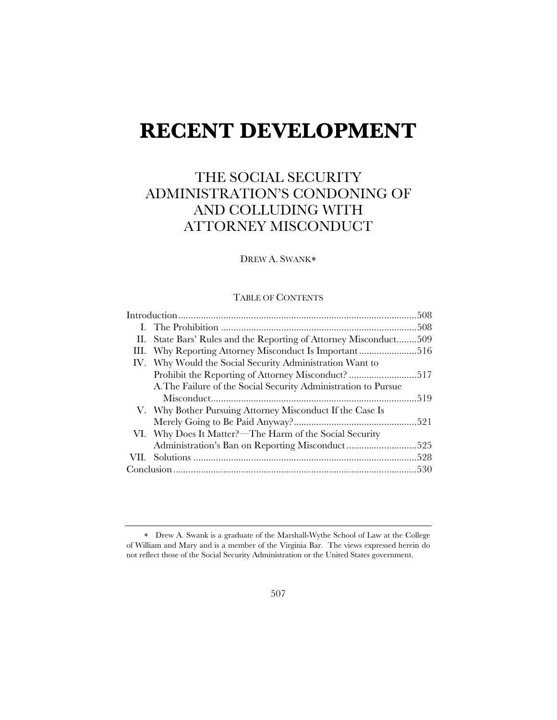# **RECENT DEVELOPMENT**

# THE SOCIAL SECURITY ADMINISTRATION'S CONDONING OF AND COLLUDING WITH ATTORNEY MISCONDUCT

DREW A. SWANK

#### TABLE OF CONTENTS

|  | II. State Bars' Rules and the Reporting of Attorney Misconduct | .509 |
|--|----------------------------------------------------------------|------|
|  | III. Why Reporting Attorney Misconduct Is Important516         |      |
|  | IV. Why Would the Social Security Administration Want to       |      |
|  |                                                                |      |
|  | A. The Failure of the Social Security Administration to Pursue |      |
|  |                                                                |      |
|  | V. Why Bother Pursuing Attorney Misconduct If the Case Is      |      |
|  |                                                                |      |
|  | VI. Why Does It Matter?-The Harm of the Social Security        |      |
|  | Administration's Ban on Reporting Misconduct525                |      |
|  |                                                                |      |
|  |                                                                |      |

Drew A. Swank is a graduate of the Marshall-Wythe School of Law at the College of William and Mary and is a member of the Virginia Bar. The views expressed herein do not reflect those of the Social Security Administration or the United States government.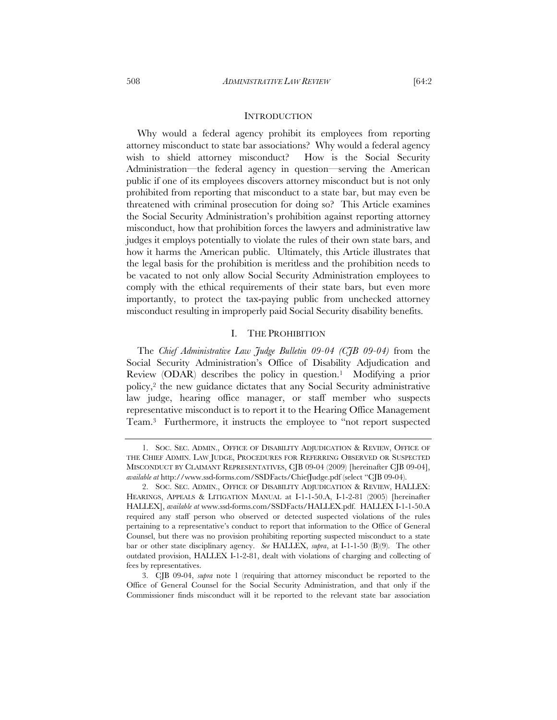#### **INTRODUCTION**

Why would a federal agency prohibit its employees from reporting attorney misconduct to state bar associations? Why would a federal agency wish to shield attorney misconduct? How is the Social Security Administration—the federal agency in question—serving the American public if one of its employees discovers attorney misconduct but is not only prohibited from reporting that misconduct to a state bar, but may even be threatened with criminal prosecution for doing so? This Article examines the Social Security Administration's prohibition against reporting attorney misconduct, how that prohibition forces the lawyers and administrative law judges it employs potentially to violate the rules of their own state bars, and how it harms the American public. Ultimately, this Article illustrates that the legal basis for the prohibition is meritless and the prohibition needs to be vacated to not only allow Social Security Administration employees to comply with the ethical requirements of their state bars, but even more importantly, to protect the tax-paying public from unchecked attorney misconduct resulting in improperly paid Social Security disability benefits.

#### I. THE PROHIBITION

The *Chief Administrative Law Judge Bulletin 09-04 (CJB 09-04)* from the Social Security Administration's Office of Disability Adjudication and Review (ODAR) describes the policy in question.1 Modifying a prior policy,2 the new guidance dictates that any Social Security administrative law judge, hearing office manager, or staff member who suspects representative misconduct is to report it to the Hearing Office Management Team.3 Furthermore, it instructs the employee to "not report suspected

 <sup>1.</sup> SOC. SEC. ADMIN., OFFICE OF DISABILITY ADJUDICATION & REVIEW, OFFICE OF THE CHIEF ADMIN. LAW JUDGE, PROCEDURES FOR REFERRING OBSERVED OR SUSPECTED MISCONDUCT BY CLAIMANT REPRESENTATIVES, CJB 09-04 (2009) [hereinafter CJB 09-04], *available at* http://www.ssd-forms.com/SSDFacts/ChiefJudge.pdf (select "CJB 09-04).

 <sup>2.</sup> SOC. SEC. ADMIN., OFFICE OF DISABILITY ADJUDICATION & REVIEW, HALLEX: HEARINGS, APPEALS & LITIGATION MANUAL at I-1-1-50.A, I-1-2-81 (2005) [hereinafter HALLEX], *available at* www.ssd-forms.com/SSDFacts/HALLEX.pdf. HALLEX I-1-1-50.A required any staff person who observed or detected suspected violations of the rules pertaining to a representative's conduct to report that information to the Office of General Counsel, but there was no provision prohibiting reporting suspected misconduct to a state bar or other state disciplinary agency. *See* HALLEX, *supra*, at I-1-1-50 (B)(9). The other outdated provision, HALLEX I-1-2-81, dealt with violations of charging and collecting of fees by representatives.

 <sup>3.</sup> CJB 09-04, *supra* note 1 (requiring that attorney misconduct be reported to the Office of General Counsel for the Social Security Administration, and that only if the Commissioner finds misconduct will it be reported to the relevant state bar association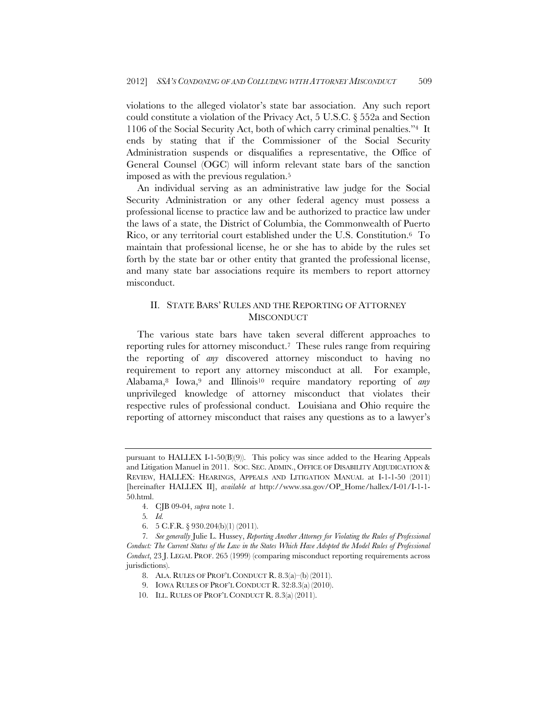violations to the alleged violator's state bar association. Any such report could constitute a violation of the Privacy Act, 5 U.S.C. § 552a and Section 1106 of the Social Security Act, both of which carry criminal penalties."4 It ends by stating that if the Commissioner of the Social Security Administration suspends or disqualifies a representative, the Office of General Counsel (OGC) will inform relevant state bars of the sanction imposed as with the previous regulation.5

An individual serving as an administrative law judge for the Social Security Administration or any other federal agency must possess a professional license to practice law and be authorized to practice law under the laws of a state, the District of Columbia, the Commonwealth of Puerto Rico, or any territorial court established under the U.S. Constitution.6 To maintain that professional license, he or she has to abide by the rules set forth by the state bar or other entity that granted the professional license, and many state bar associations require its members to report attorney misconduct.

# II. STATE BARS' RULES AND THE REPORTING OF ATTORNEY **MISCONDUCT**

The various state bars have taken several different approaches to reporting rules for attorney misconduct.7 These rules range from requiring the reporting of *any* discovered attorney misconduct to having no requirement to report any attorney misconduct at all. For example, Alabama,8 Iowa,9 and Illinois10 require mandatory reporting of *any* unprivileged knowledge of attorney misconduct that violates their respective rules of professional conduct. Louisiana and Ohio require the reporting of attorney misconduct that raises any questions as to a lawyer's

6. 5 C.F.R. § 930.204(b)(1) (2011).

- 8. ALA. RULES OF PROF'L CONDUCT R. 8.3(a)–(b) (2011).
- 9. IOWA RULES OF PROF'L CONDUCT R. 32:8.3(a) (2010).
- 10. ILL. RULES OF PROF'L CONDUCT R. 8.3(a) (2011).

pursuant to  $HALLEX$  I-1-50 $(B)(9)$ ). This policy was since added to the Hearing Appeals and Litigation Manuel in 2011. SOC. SEC. ADMIN., OFFICE OF DISABILITY ADJUDICATION & REVIEW, HALLEX: HEARINGS, APPEALS AND LITIGATION MANUAL at I-1-1-50 (2011) [hereinafter HALLEX II], *available at* http://www.ssa.gov/OP\_Home/hallex/I-01/I-1-1- 50.html.

 <sup>4.</sup> CJB 09-04, *supra* note 1.

<sup>5</sup>*. Id.*

<sup>7</sup>*. See generally* Julie L. Hussey, *Reporting Another Attorney for Violating the Rules of Professional Conduct: The Current Status of the Law in the States Which Have Adopted the Model Rules of Professional Conduct*, 23 J. LEGAL PROF. 265 (1999) (comparing misconduct reporting requirements across jurisdictions).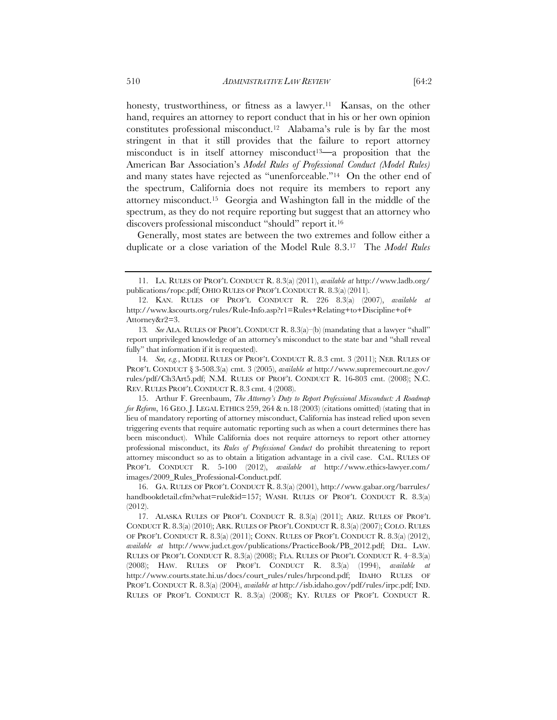honesty, trustworthiness, or fitness as a lawyer.<sup>11</sup> Kansas, on the other hand, requires an attorney to report conduct that in his or her own opinion constitutes professional misconduct.12 Alabama's rule is by far the most stringent in that it still provides that the failure to report attorney misconduct is in itself attorney misconduct13**—**a proposition that the American Bar Association's *Model Rules of Professional Conduct (Model Rules)* and many states have rejected as "unenforceable."14 On the other end of the spectrum, California does not require its members to report any attorney misconduct.15 Georgia and Washington fall in the middle of the spectrum, as they do not require reporting but suggest that an attorney who discovers professional misconduct "should" report it.16

Generally, most states are between the two extremes and follow either a duplicate or a close variation of the Model Rule 8.3.17 The *Model Rules*

 <sup>11.</sup> LA. RULES OF PROF'L CONDUCT R. 8.3(a) (2011), *available at* http://www.ladb.org/ publications/ropc.pdf; OHIO RULES OF PROF'L CONDUCT R. 8.3(a) (2011).

 <sup>12.</sup> KAN. RULES OF PROF'L CONDUCT R. 226 8.3(a) (2007), *available at* http://www.kscourts.org/rules/Rule-Info.asp?r1=Rules+Relating+to+Discipline+of+ Attorney&r2=3.

<sup>13</sup>*. See* ALA. RULES OF PROF'L CONDUCT R. 8.3(a)–(b) (mandating that a lawyer "shall" report unprivileged knowledge of an attorney's misconduct to the state bar and "shall reveal fully" that information if it is requested).

<sup>14</sup>*. See, e.g.*, MODEL RULES OF PROF'L CONDUCT R. 8.3 cmt. 3 (2011); NEB. RULES OF PROF'L CONDUCT § 3-508.3(a) cmt. 3 (2005), *available at* http://www.supremecourt.ne.gov/ rules/pdf/Ch3Art5.pdf; N.M. RULES OF PROF'L CONDUCT R. 16-803 cmt. (2008); N.C. REV. RULES PROF'L CONDUCT R. 8.3 cmt. 4 (2008).

 <sup>15.</sup> Arthur F. Greenbaum, *The Attorney's Duty to Report Professional Misconduct: A Roadmap for Reform*, 16 GEO. J. LEGAL ETHICS 259, 264 & n.18 (2003) (citations omitted) (stating that in lieu of mandatory reporting of attorney misconduct, California has instead relied upon seven triggering events that require automatic reporting such as when a court determines there has been misconduct). While California does not require attorneys to report other attorney professional misconduct, its *Rules of Professional Conduct* do prohibit threatening to report attorney misconduct so as to obtain a litigation advantage in a civil case. CAL. RULES OF PROF'L CONDUCT R. 5-100 (2012), *available at* http://www.ethics-lawyer.com/ images/2009\_Rules\_Professional-Conduct.pdf.

 <sup>16.</sup> GA. RULES OF PROF'L CONDUCT R. 8.3(a) (2001), http://www.gabar.org/barrules/ handbookdetail.cfm?what=rule&id=157; WASH. RULES OF PROF'L CONDUCT R. 8.3(a) (2012).

 <sup>17.</sup> ALASKA RULES OF PROF'L CONDUCT R. 8.3(a) (2011); ARIZ. RULES OF PROF'L CONDUCT R. 8.3(a) (2010); ARK. RULES OF PROF'L CONDUCT R. 8.3(a) (2007); COLO. RULES OF PROF'L CONDUCT R. 8.3(a) (2011); CONN. RULES OF PROF'L CONDUCT R. 8.3(a) (2012), *available at* http://www.jud.ct.gov/publications/PracticeBook/PB\_2012.pdf; DEL. LAW. RULES OF PROF'L CONDUCT R. 8.3(a) (2008); FLA. RULES OF PROF'L CONDUCT R. 4–8.3(a) (2008); HAW. RULES OF PROF'L CONDUCT R. 8.3(a) (1994), *available at* http://www.courts.state.hi.us/docs/court\_rules/rules/hrpcond.pdf; IDAHO RULES OF PROF'L CONDUCT R. 8.3(a) (2004), *available at* http://isb.idaho.gov/pdf/rules/irpc.pdf; IND. RULES OF PROF'L CONDUCT R. 8.3(a) (2008); KY. RULES OF PROF'L CONDUCT R.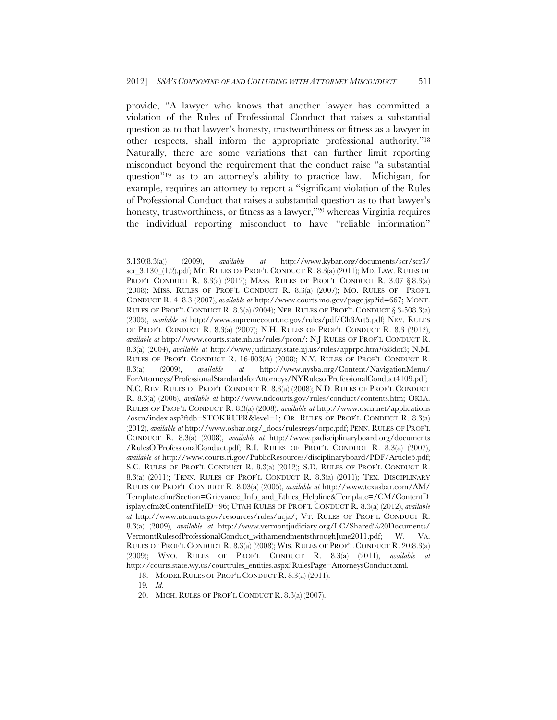provide, "A lawyer who knows that another lawyer has committed a violation of the Rules of Professional Conduct that raises a substantial question as to that lawyer's honesty, trustworthiness or fitness as a lawyer in other respects, shall inform the appropriate professional authority."18 Naturally, there are some variations that can further limit reporting misconduct beyond the requirement that the conduct raise "a substantial question"19 as to an attorney's ability to practice law. Michigan, for example, requires an attorney to report a "significant violation of the Rules of Professional Conduct that raises a substantial question as to that lawyer's honesty, trustworthiness, or fitness as a lawyer,"<sup>20</sup> whereas Virginia requires the individual reporting misconduct to have "reliable information"

18. MODEL RULES OF PROF'L CONDUCT R. 8.3(a) (2011).

19*. Id.*

20. MICH. RULES OF PROF'L CONDUCT R. 8.3(a) (2007).

<sup>3.130(8.3(</sup>a)) (2009), *available at* http://www.kybar.org/documents/scr/scr3/ scr\_3.130\_(1.2).pdf; ME. RULES OF PROF'L CONDUCT R. 8.3(a) (2011); MD. LAW. RULES OF PROF'L CONDUCT R. 8.3(a) (2012); MASS. RULES OF PROF'L CONDUCT R. 3.07  $\S 8.3(a)$ (2008); MISS. RULES OF PROF'L CONDUCT R. 8.3(a) (2007); MO. RULES OF PROF'L CONDUCT R. 4–8.3 (2007), *available at* http://www.courts.mo.gov/page.jsp?id=667; MONT. RULES OF PROF'L CONDUCT R. 8.3(a) (2004); NEB. RULES OF PROF'L CONDUCT § 3-508.3(a) (2005), *available at* http://www.supremecourt.ne.gov/rules/pdf/Ch3Art5.pdf; NEV. RULES OF PROF'L CONDUCT R. 8.3(a) (2007); N.H. RULES OF PROF'L CONDUCT R. 8.3 (2012), *available at* http://www.courts.state.nh.us/rules/pcon/; N.J RULES OF PROF'L CONDUCT R. 8.3(a) (2004), *available at* http://www.judiciary.state.nj.us/rules/apprpc.htm#x8dot3; N.M. RULES OF PROF'L CONDUCT R. 16-803(A) (2008); N.Y. RULES OF PROF'L CONDUCT R. 8.3(a) (2009), *available at* http://www.nysba.org/Content/NavigationMenu/ ForAttorneys/ProfessionalStandardsforAttorneys/NYRulesofProfessionalConduct4109.pdf; N.C. REV. RULES OF PROF'L CONDUCT R. 8.3(a) (2008); N.D. RULES OF PROF'L CONDUCT R. 8.3(a) (2006), *available at* http://www.ndcourts.gov/rules/conduct/contents.htm; OKLA. RULES OF PROF'L CONDUCT R. 8.3(a) (2008), *available at* http://www.oscn.net/applications /oscn/index.asp?ftdb=STOKRUPR&level=1; OR. RULES OF PROF'L CONDUCT R. 8.3(a) (2012), *available at* http://www.osbar.org/\_docs/rulesregs/orpc.pdf; PENN. RULES OF PROF'L CONDUCT R. 8.3(a) (2008), *available at* http://www.padisciplinaryboard.org/documents /RulesOfProfessionalConduct.pdf; R.I. RULES OF PROF'L CONDUCT R. 8.3(a) (2007), *available at* http://www.courts.ri.gov/PublicResources/disciplinaryboard/PDF/Article5.pdf; S.C. RULES OF PROF'L CONDUCT R. 8.3(a) (2012); S.D. RULES OF PROF'L CONDUCT R. 8.3(a) (2011); TENN. RULES OF PROF'L CONDUCT R. 8.3(a) (2011); TEX. DISCIPLINARY RULES OF PROF'L CONDUCT R. 8.03(a) (2005), *available at* http://www.texasbar.com/AM/ Template.cfm?Section=Grievance\_Info\_and\_Ethics\_Helpline&Template=/CM/ContentD isplay.cfm&ContentFileID=96; UTAH RULES OF PROF'L CONDUCT R. 8.3(a) (2012), *available at* http://www.utcourts.gov/resources/rules/ucja/; VT. RULES OF PROF'L CONDUCT R. 8.3(a) (2009), *available at* http://www.vermontjudiciary.org/LC/Shared%20Documents/ VermontRulesofProfessionalConduct\_withamendmentsthroughJune2011.pdf; W. VA. RULES OF PROF'L CONDUCT R. 8.3(a) (2008); WIS. RULES OF PROF'L CONDUCT R. 20:8.3(a) (2009); WYO. RULES OF PROF'L CONDUCT R. 8.3(a) (2011), *available at*  http://courts.state.wy.us/courtrules\_entities.aspx?RulesPage=AttorneysConduct.xml.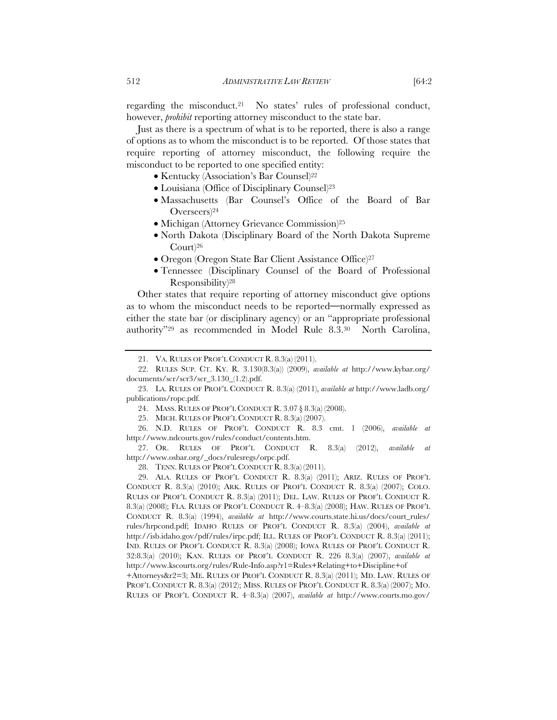regarding the misconduct.21 No states' rules of professional conduct, however, *prohibit* reporting attorney misconduct to the state bar.

Just as there is a spectrum of what is to be reported, there is also a range of options as to whom the misconduct is to be reported. Of those states that require reporting of attorney misconduct, the following require the misconduct to be reported to one specified entity:

- Kentucky (Association's Bar Counsel)22
- Louisiana (Office of Disciplinary Counsel)23
- Massachusetts (Bar Counsel's Office of the Board of Bar Overseers)24
- Michigan (Attorney Grievance Commission)<sup>25</sup>
- North Dakota (Disciplinary Board of the North Dakota Supreme Court)26
- Oregon (Oregon State Bar Client Assistance Office)<sup>27</sup>
- Tennessee (Disciplinary Counsel of the Board of Professional Responsibility)28

Other states that require reporting of attorney misconduct give options as to whom the misconduct needs to be reported**—**normally expressed as either the state bar (or disciplinary agency) or an "appropriate professional authority"29 as recommended in Model Rule 8.3.30 North Carolina,

24. MASS. RULES OF PROF'L CONDUCT R. 3.07 § 8.3(a) (2008).

25. MICH. RULES OF PROF'L CONDUCT R. 8.3(a) (2007).

 26. N.D. RULES OF PROF'L CONDUCT R. 8.3 cmt. 1 (2006), *available at*  http://www.ndcourts.gov/rules/conduct/contents.htm.

 27. OR. RULES OF PROF'L CONDUCT R. 8.3(a) (2012), *available at*  http://www.osbar.org/\_docs/rulesregs/orpc.pdf.

+Attorneys&r2=3; ME. RULES OF PROF'L CONDUCT R. 8.3(a) (2011); MD. LAW. RULES OF PROF'L CONDUCT R. 8.3(a) (2012); MISS. RULES OF PROF'L CONDUCT R. 8.3(a) (2007); MO. RULES OF PROF'L CONDUCT R. 4–8.3(a) (2007), *available at* http://www.courts.mo.gov/

 <sup>21.</sup> VA. RULES OF PROF'L CONDUCT R. 8.3(a) (2011).

 <sup>22.</sup> RULES SUP. CT. KY. R. 3.130(8.3(a)) (2009), *available at* http://www.kybar.org/ documents/scr/scr3/scr\_3.130\_(1.2).pdf.

 <sup>23.</sup> LA. RULES OF PROF'L CONDUCT R. 8.3(a) (2011), *available at* http://www.ladb.org/ publications/ropc.pdf.

 <sup>28.</sup> TENN. RULES OF PROF'L CONDUCT R. 8.3(a) (2011).

 <sup>29.</sup> ALA. RULES OF PROF'L CONDUCT R. 8.3(a) (2011); ARIZ. RULES OF PROF'L CONDUCT R. 8.3(a) (2010); ARK. RULES OF PROF'L CONDUCT R. 8.3(a) (2007); COLO. RULES OF PROF'L CONDUCT R. 8.3(a) (2011); DEL. LAW. RULES OF PROF'L CONDUCT R. 8.3(a) (2008); FLA. RULES OF PROF'L CONDUCT R. 4–8.3(a) (2008); HAW. RULES OF PROF'L CONDUCT R. 8.3(a) (1994), *available at http://www.courts.state.hi.us/docs/court rules/* rules/hrpcond.pdf; IDAHO RULES OF PROF'L CONDUCT R. 8.3(a) (2004), *available at*  http://isb.idaho.gov/pdf/rules/irpc.pdf; ILL. RULES OF PROF'L CONDUCT R. 8.3(a) (2011); IND. RULES OF PROF'L CONDUCT R. 8.3(a) (2008); IOWA RULES OF PROF'L CONDUCT R. 32:8.3(a) (2010); KAN. RULES OF PROF'L CONDUCT R. 226 8.3(a) (2007), *available at*  http://www.kscourts.org/rules/Rule-Info.asp?r1=Rules+Relating+to+Discipline+of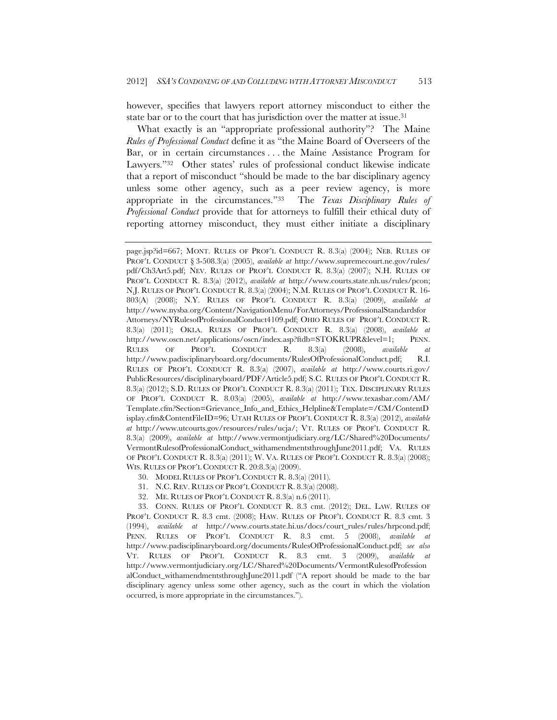however, specifies that lawyers report attorney misconduct to either the state bar or to the court that has jurisdiction over the matter at issue.<sup>31</sup>

What exactly is an "appropriate professional authority"? The Maine *Rules of Professional Conduct* define it as "the Maine Board of Overseers of the Bar, or in certain circumstances . . . the Maine Assistance Program for Lawyers."32 Other states' rules of professional conduct likewise indicate that a report of misconduct "should be made to the bar disciplinary agency unless some other agency, such as a peer review agency, is more appropriate in the circumstances."33 The *Texas Disciplinary Rules of Professional Conduct* provide that for attorneys to fulfill their ethical duty of reporting attorney misconduct, they must either initiate a disciplinary

- 30. MODEL RULES OF PROF'L CONDUCT R. 8.3(a) (2011).
- 31. N.C. REV. RULES OF PROF'L CONDUCT R. 8.3(a) (2008).
- 32. ME. RULES OF PROF'L CONDUCT R. 8.3(a) n.6 (2011).

 33. CONN. RULES OF PROF'L CONDUCT R. 8.3 cmt. (2012); DEL. LAW. RULES OF PROF'L CONDUCT R. 8.3 cmt. (2008); HAW. RULES OF PROF'L CONDUCT R. 8.3 cmt. 3 (1994), *available at* http://www.courts.state.hi.us/docs/court\_rules/rules/hrpcond.pdf; PENN. RULES OF PROF'L CONDUCT R. 8.3 cmt. 5 (2008), *available at*  http://www.padisciplinaryboard.org/documents/RulesOfProfessionalConduct.pdf; *see also*  VT. RULES OF PROF'L CONDUCT R. 8.3 cmt. 3 (2009), *available at*  http://www.vermontjudiciary.org/LC/Shared%20Documents/VermontRulesofProfession alConduct\_withamendmentsthroughJune2011.pdf ("A report should be made to the bar disciplinary agency unless some other agency, such as the court in which the violation occurred, is more appropriate in the circumstances.").

page.jsp?id=667; MONT. RULES OF PROF'L CONDUCT R. 8.3(a) (2004); NEB. RULES OF PROF'L CONDUCT § 3-508.3(a) (2005), *available at* http://www.supremecourt.ne.gov/rules/ pdf/Ch3Art5.pdf; NEV. RULES OF PROF'L CONDUCT R. 8.3(a) (2007); N.H. RULES OF PROF'L CONDUCT R. 8.3(a) (2012), *available at* http://www.courts.state.nh.us/rules/pcon; N.J. RULES OF PROF'L CONDUCT R. 8.3(a) (2004); N.M. RULES OF PROF'L CONDUCT R. 16- 803(A) (2008); N.Y. RULES OF PROF'L CONDUCT R. 8.3(a) (2009), *available at* http://www.nysba.org/Content/NavigationMenu/ForAttorneys/ProfessionalStandardsfor Attorneys/NYRulesofProfessionalConduct4109.pdf; OHIO RULES OF PROF'L CONDUCT R. 8.3(a) (2011); OKLA. RULES OF PROF'L CONDUCT R. 8.3(a) (2008), *available at*  http://www.oscn.net/applications/oscn/index.asp?ftdb=STOKRUPR&level=1; PENN. RULES OF PROF'L CONDUCT R. 8.3(a) (2008), *available at*  http://www.padisciplinaryboard.org/documents/RulesOfProfessionalConduct.pdf; R.I. RULES OF PROF'L CONDUCT R. 8.3(a) (2007), *available at* http://www.courts.ri.gov/ PublicResources/disciplinaryboard/PDF/Article5.pdf; S.C. RULES OF PROF'L CONDUCT R. 8.3(a) (2012); S.D. RULES OF PROF'L CONDUCT R. 8.3(a) (2011); TEX. DISCIPLINARY RULES OF PROF'L CONDUCT R. 8.03(a) (2005), *available at* http://www.texasbar.com/AM/ Template.cfm?Section=Grievance\_Info\_and\_Ethics\_Helpline&Template=/CM/ContentD isplay.cfm&ContentFileID=96; UTAH RULES OF PROF'L CONDUCT R. 8.3(a) (2012), *available at* http://www.utcourts.gov/resources/rules/ucja/; VT. RULES OF PROF'L CONDUCT R. 8.3(a) (2009), *available at* http://www.vermontjudiciary.org/LC/Shared%20Documents/ VermontRulesofProfessionalConduct\_withamendmentsthroughJune2011.pdf; VA. RULES OF PROF'L CONDUCT R. 8.3(a) (2011); W. VA. RULES OF PROF'L CONDUCT R. 8.3(a) (2008); WIS. RULES OF PROF'L CONDUCT R. 20:8.3(a) (2009).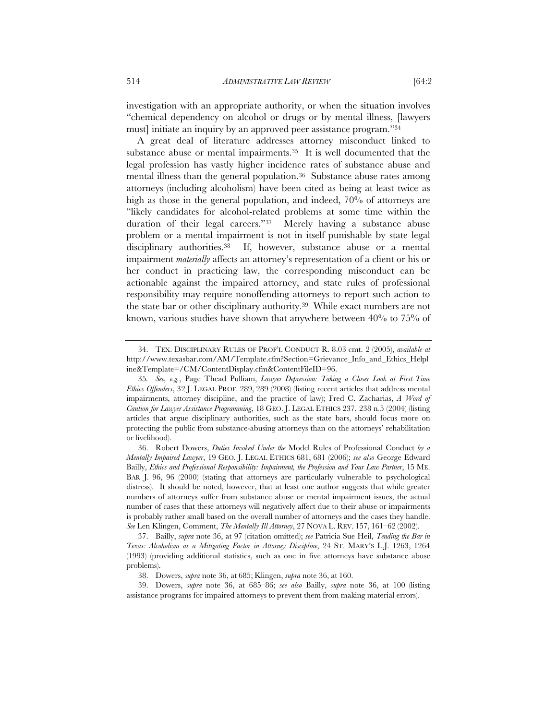investigation with an appropriate authority, or when the situation involves "chemical dependency on alcohol or drugs or by mental illness, [lawyers must] initiate an inquiry by an approved peer assistance program."34

A great deal of literature addresses attorney misconduct linked to substance abuse or mental impairments.35 It is well documented that the legal profession has vastly higher incidence rates of substance abuse and mental illness than the general population.36 Substance abuse rates among attorneys (including alcoholism) have been cited as being at least twice as high as those in the general population, and indeed, 70% of attorneys are "likely candidates for alcohol-related problems at some time within the duration of their legal careers."37 Merely having a substance abuse problem or a mental impairment is not in itself punishable by state legal disciplinary authorities.38 If, however, substance abuse or a mental impairment *materially* affects an attorney's representation of a client or his or her conduct in practicing law, the corresponding misconduct can be actionable against the impaired attorney, and state rules of professional responsibility may require nonoffending attorneys to report such action to the state bar or other disciplinary authority.39 While exact numbers are not known, various studies have shown that anywhere between 40% to 75% of

 <sup>34.</sup> TEX. DISCIPLINARY RULES OF PROF'L CONDUCT R. 8.03 cmt. 2 (2005), *available at*  http://www.texasbar.com/AM/Template.cfm?Section=Grievance\_Info\_and\_Ethics\_Helpl ine&Template=/CM/ContentDisplay.cfm&ContentFileID=96.

<sup>35</sup>*. See, e.g.*, Page Thead Pulliam, *Lawyer Depression: Taking a Closer Look at First-Time Ethics Offenders*, 32 J. LEGAL PROF. 289, 289 (2008) (listing recent articles that address mental impairments, attorney discipline, and the practice of law); Fred C. Zacharias, *A Word of Caution for Lawyer Assistance Programming*, 18 GEO. J. LEGAL ETHICS 237, 238 n.5 (2004) (listing articles that argue disciplinary authorities, such as the state bars, should focus more on protecting the public from substance-abusing attorneys than on the attorneys' rehabilitation or livelihood).

 <sup>36.</sup> Robert Dowers, *Duties Invoked Under the* Model Rules of Professional Conduct *by a Mentally Impaired Lawyer*, 19 GEO. J. LEGAL ETHICS 681, 681 (2006); *see also* George Edward Bailly, *Ethics and Professional Responsibility: Impairment, the Profession and Your Law Partner*, 15 ME. BAR J. 96, 96 (2000) (stating that attorneys are particularly vulnerable to psychological distress). It should be noted, however, that at least one author suggests that while greater numbers of attorneys suffer from substance abuse or mental impairment issues, the actual number of cases that these attorneys will negatively affect due to their abuse or impairments is probably rather small based on the overall number of attorneys and the cases they handle. *See* Len Klingen, Comment, *The Mentally Ill Attorney*, 27 NOVA L. REV. 157, 161–62 (2002).

 <sup>37.</sup> Bailly, *supra* note 36, at 97 (citation omitted); *see* Patricia Sue Heil, *Tending the Bar in Texas: Alcoholism as a Mitigating Factor in Attorney Discipline*, 24 ST. MARY'S L.J. 1263, 1264 (1993) (providing additional statistics, such as one in five attorneys have substance abuse problems).

 <sup>38.</sup> Dowers, *supra* note 36, at 685; Klingen, *supra* note 36, at 160.

 <sup>39.</sup> Dowers, *supra* note 36, at 685–86; *see also* Bailly, *supra* note 36, at 100 (listing assistance programs for impaired attorneys to prevent them from making material errors).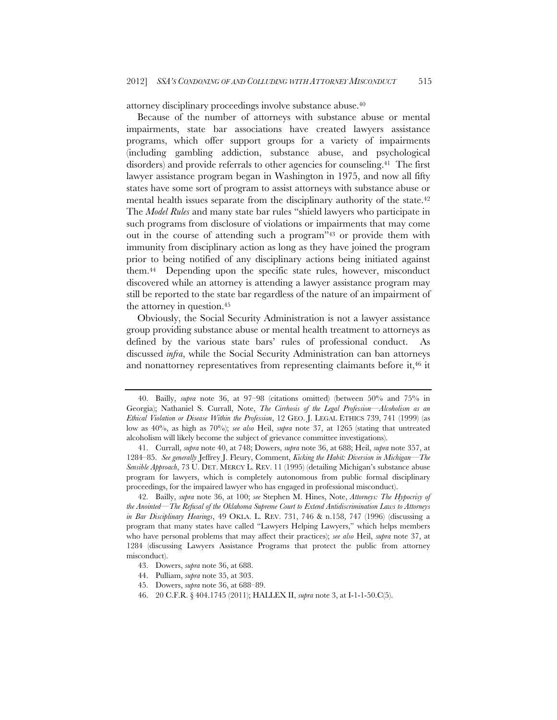attorney disciplinary proceedings involve substance abuse.40

Because of the number of attorneys with substance abuse or mental impairments, state bar associations have created lawyers assistance programs, which offer support groups for a variety of impairments (including gambling addiction, substance abuse, and psychological disorders) and provide referrals to other agencies for counseling.<sup>41</sup> The first lawyer assistance program began in Washington in 1975, and now all fifty states have some sort of program to assist attorneys with substance abuse or mental health issues separate from the disciplinary authority of the state.<sup>42</sup> The *Model Rules* and many state bar rules "shield lawyers who participate in such programs from disclosure of violations or impairments that may come out in the course of attending such a program"43 or provide them with immunity from disciplinary action as long as they have joined the program prior to being notified of any disciplinary actions being initiated against them.44 Depending upon the specific state rules, however, misconduct discovered while an attorney is attending a lawyer assistance program may still be reported to the state bar regardless of the nature of an impairment of the attorney in question.45

Obviously, the Social Security Administration is not a lawyer assistance group providing substance abuse or mental health treatment to attorneys as defined by the various state bars' rules of professional conduct. As discussed *infra*, while the Social Security Administration can ban attorneys and nonattorney representatives from representing claimants before it,<sup>46</sup> it

 <sup>40.</sup> Bailly, *supra* note 36, at 97–98 (citations omitted) (between 50% and 75% in Georgia); Nathaniel S. Currall, Note, *The Cirrhosis of the Legal Profession—Alcoholism as an Ethical Violation or Disease Within the Profession*, 12 GEO. J. LEGAL ETHICS 739, 741 (1999) (as low as 40%, as high as 70%); *see also* Heil, *supra* note 37, at 1265 (stating that untreated alcoholism will likely become the subject of grievance committee investigations).

 <sup>41.</sup> Currall, *supra* note 40, at 748; Dowers, *supra* note 36, at 688; Heil, *supra* note 357, at 1284–85. *See generally* Jeffrey J. Fleury, Comment, *Kicking the Habit: Diversion in Michigan—The Sensible Approach*, 73 U. DET. MERCY L. REV. 11 (1995) (detailing Michigan's substance abuse program for lawyers, which is completely autonomous from public formal disciplinary proceedings, for the impaired lawyer who has engaged in professional misconduct).

 <sup>42.</sup> Bailly, *supra* note 36, at 100; *see* Stephen M. Hines, Note, *Attorneys: The Hypocrisy of the Anointed—The Refusal of the Oklahoma Supreme Court to Extend Antidiscrimination Laws to Attorneys in Bar Disciplinary Hearings*, 49 OKLA. L. REV. 731, 746 & n.158, 747 (1996) (discussing a program that many states have called "Lawyers Helping Lawyers," which helps members who have personal problems that may affect their practices); *see also* Heil, *supra* note 37, at 1284 (discussing Lawyers Assistance Programs that protect the public from attorney misconduct).

 <sup>43.</sup> Dowers, *supra* note 36, at 688.

 <sup>44.</sup> Pulliam, *supra* note 35, at 303.

 <sup>45.</sup> Dowers, *supra* note 36, at 688–89.

 <sup>46. 20</sup> C.F.R. § 404.1745 (2011); HALLEX II, *supra* note 3, at I-1-1-50.C(5).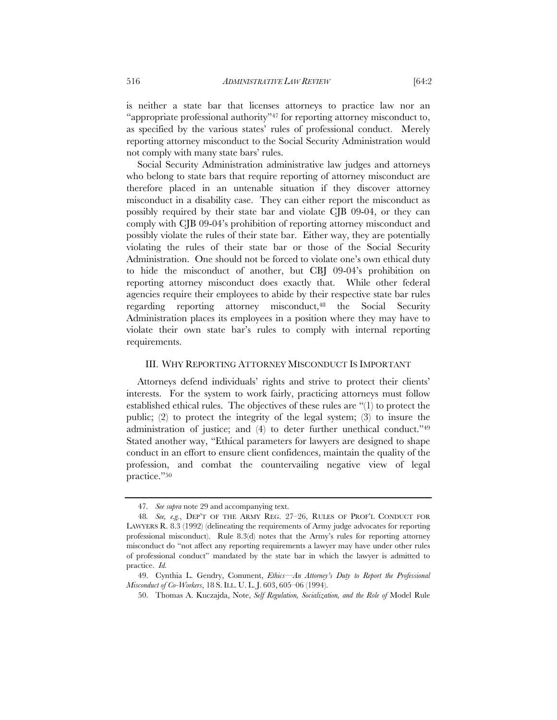is neither a state bar that licenses attorneys to practice law nor an "appropriate professional authority"47 for reporting attorney misconduct to, as specified by the various states' rules of professional conduct. Merely reporting attorney misconduct to the Social Security Administration would not comply with many state bars' rules.

Social Security Administration administrative law judges and attorneys who belong to state bars that require reporting of attorney misconduct are therefore placed in an untenable situation if they discover attorney misconduct in a disability case. They can either report the misconduct as possibly required by their state bar and violate CJB 09-04, or they can comply with CJB 09-04's prohibition of reporting attorney misconduct and possibly violate the rules of their state bar. Either way, they are potentially violating the rules of their state bar or those of the Social Security Administration. One should not be forced to violate one's own ethical duty to hide the misconduct of another, but CBJ 09-04's prohibition on reporting attorney misconduct does exactly that. While other federal agencies require their employees to abide by their respective state bar rules regarding reporting attorney misconduct,48 the Social Security Administration places its employees in a position where they may have to violate their own state bar's rules to comply with internal reporting requirements.

### III. WHY REPORTING ATTORNEY MISCONDUCT IS IMPORTANT

Attorneys defend individuals' rights and strive to protect their clients' interests. For the system to work fairly, practicing attorneys must follow established ethical rules. The objectives of these rules are "(1) to protect the public; (2) to protect the integrity of the legal system; (3) to insure the administration of justice; and (4) to deter further unethical conduct."49 Stated another way, "Ethical parameters for lawyers are designed to shape conduct in an effort to ensure client confidences, maintain the quality of the profession, and combat the countervailing negative view of legal practice."50

<sup>47</sup>*. See supra* note 29 and accompanying text.

<sup>48</sup>*. See, e.g.*, DEP'T OF THE ARMY REG. 27–26, RULES OF PROF'L CONDUCT FOR LAWYERS R. 8.3 (1992) (delineating the requirements of Army judge advocates for reporting professional misconduct). Rule 8.3(d) notes that the Army's rules for reporting attorney misconduct do "not affect any reporting requirements a lawyer may have under other rules of professional conduct" mandated by the state bar in which the lawyer is admitted to practice. *Id.*

 <sup>49.</sup> Cynthia L. Gendry, Comment, *Ethics—An Attorney's Duty to Report the Professional Misconduct of Co-Workers*, 18 S. ILL. U. L. J. 603, 605–06 (1994).

 <sup>50.</sup> Thomas A. Kuczajda, Note, *Self Regulation, Socialization, and the Role of* Model Rule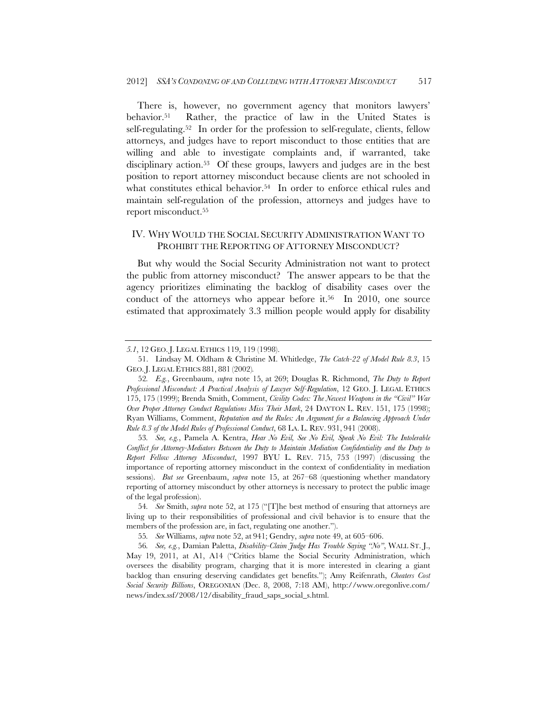There is, however, no government agency that monitors lawyers' behavior.51 Rather, the practice of law in the United States is self-regulating.<sup>52</sup> In order for the profession to self-regulate, clients, fellow attorneys, and judges have to report misconduct to those entities that are willing and able to investigate complaints and, if warranted, take disciplinary action.<sup>53</sup> Of these groups, lawyers and judges are in the best position to report attorney misconduct because clients are not schooled in what constitutes ethical behavior.<sup>54</sup> In order to enforce ethical rules and maintain self-regulation of the profession, attorneys and judges have to report misconduct.55

# IV. WHY WOULD THE SOCIAL SECURITY ADMINISTRATION WANT TO PROHIBIT THE REPORTING OF ATTORNEY MISCONDUCT?

But why would the Social Security Administration not want to protect the public from attorney misconduct? The answer appears to be that the agency prioritizes eliminating the backlog of disability cases over the conduct of the attorneys who appear before it.<sup>56</sup> In 2010, one source estimated that approximately 3.3 million people would apply for disability

53*. See, e.g.*, Pamela A. Kentra, *Hear No Evil, See No Evil, Speak No Evil: The Intolerable Conflict for Attorney-Mediators Between the Duty to Maintain Mediation Confidentiality and the Duty to Report Fellow Attorney Misconduct*, 1997 BYU L. REV. 715, 753 (1997) (discussing the importance of reporting attorney misconduct in the context of confidentiality in mediation sessions). *But see* Greenbaum, *supra* note 15, at 267–68 (questioning whether mandatory reporting of attorney misconduct by other attorneys is necessary to protect the public image of the legal profession).

55*. See* Williams, *supra* note 52, at 941; Gendry, *supra* note 49, at 605–606.

*<sup>5.1</sup>*, 12 GEO. J. LEGAL ETHICS 119, 119 (1998).

 <sup>51.</sup> Lindsay M. Oldham & Christine M. Whitledge, *The Catch-22 of Model Rule 8.3*, 15 GEO. J. LEGAL ETHICS 881, 881 (2002)*.*

<sup>52</sup>*. E.g.*, Greenbaum, *supra* note 15, at 269; Douglas R. Richmond, *The Duty to Report Professional Misconduct: A Practical Analysis of Lawyer Self-Regulation*, 12 GEO. J. LEGAL ETHICS 175, 175 (1999); Brenda Smith, Comment, *Civility Codes: The Newest Weapons in the "Civil" War Over Proper Attorney Conduct Regulations Miss Their Mark*, 24 DAYTON L. REV. 151, 175 (1998); Ryan Williams, Comment, *Reputation and the Rules: An Argument for a Balancing Approach Under Rule 8.3 of the Model Rules of Professional Conduct*, 68 LA. L. REV. 931, 941 (2008).

<sup>54</sup>*. See* Smith, *supra* note 52, at 175 ("[T]he best method of ensuring that attorneys are living up to their responsibilities of professional and civil behavior is to ensure that the members of the profession are, in fact, regulating one another.").

<sup>56</sup>*. See, e.g.*, Damian Paletta, *Disability-Claim Judge Has Trouble Saying "No"*, WALL ST. J., May 19, 2011, at A1, A14 ("Critics blame the Social Security Administration, which oversees the disability program, charging that it is more interested in clearing a giant backlog than ensuring deserving candidates get benefits."); Amy Reifenrath, *Cheaters Cost Social Security Billions*, OREGONIAN (Dec. 8, 2008, 7:18 AM), http://www.oregonlive.com/ news/index.ssf/2008/12/disability\_fraud\_saps\_social\_s.html.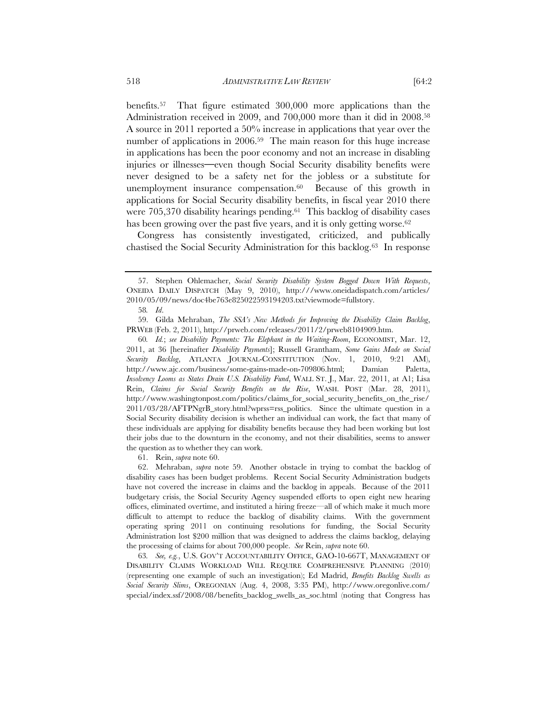benefits.57 That figure estimated 300,000 more applications than the Administration received in 2009, and 700,000 more than it did in 2008.58 A source in 2011 reported a 50% increase in applications that year over the number of applications in 2006.<sup>59</sup> The main reason for this huge increase in applications has been the poor economy and not an increase in disabling injuries or illnesses**—**even though Social Security disability benefits were never designed to be a safety net for the jobless or a substitute for unemployment insurance compensation.<sup>60</sup> Because of this growth in applications for Social Security disability benefits, in fiscal year 2010 there were 705,370 disability hearings pending.61 This backlog of disability cases

has been growing over the past five years, and it is only getting worse.<sup>62</sup> Congress has consistently investigated, criticized, and publically chastised the Social Security Administration for this backlog.63 In response

61. Rein, *supra* note 60.

 62. Mehraban, *supra* note 59. Another obstacle in trying to combat the backlog of disability cases has been budget problems. Recent Social Security Administration budgets have not covered the increase in claims and the backlog in appeals. Because of the 2011 budgetary crisis, the Social Security Agency suspended efforts to open eight new hearing offices, eliminated overtime, and instituted a hiring freeze—all of which make it much more difficult to attempt to reduce the backlog of disability claims. With the government operating spring 2011 on continuing resolutions for funding, the Social Security Administration lost \$200 million that was designed to address the claims backlog, delaying the processing of claims for about 700,000 people. *See* Rein, *supra* note 60.

63*. See, e.g.*, U.S. GOV'T ACCOUNTABILITY OFFICE, GAO-10-667T, MANAGEMENT OF DISABILITY CLAIMS WORKLOAD WILL REQUIRE COMPREHENSIVE PLANNING (2010) (representing one example of such an investigation); Ed Madrid, *Benefits Backlog Swells as Social Security Slims*, OREGONIAN (Aug. 4, 2008, 3:35 PM), http://www.oregonlive.com/ special/index.ssf/2008/08/benefits\_backlog\_swells\_as\_soc.html (noting that Congress has

 <sup>57.</sup> Stephen Ohlemacher, *Social Security Disability System Bogged Down With Requests*, ONEIDA DAILY DISPATCH (May 9, 2010), http:///www.oneidadispatch.com/articles/ 2010/05/09/news/doc4be763e825022593194203.txt?viewmode=fullstory.

<sup>58</sup>*. Id*.

 <sup>59.</sup> Gilda Mehraban, *The SSA's New Methods for Improving the Disability Claim Backlog*, PRWEB (Feb. 2, 2011), http://prweb.com/releases/2011/2/prweb8104909.htm.

<sup>60</sup>*. Id.*; *see Disability Payments: The Elephant in the Waiting-Room*, ECONOMIST, Mar. 12, 2011, at 36 [hereinafter *Disability Payments*]; Russell Grantham, *Some Gains Made on Social Security Backlog*, ATLANTA JOURNAL-CONSTITUTION (Nov. 1, 2010, 9:21 AM), http://www.ajc.com/business/some-gains-made-on-709806.html; Damian Paletta, *Insolvency Looms as States Drain U.S. Disability Fund*, WALL ST. J., Mar. 22, 2011, at A1; Lisa Rein, *Claims for Social Security Benefits on the Rise*, WASH. POST (Mar. 28, 2011), http://www.washingtonpost.com/politics/claims\_for\_social\_security\_benefits\_on\_the\_rise/ 2011/03/28/AFTPNgrB\_story.html?wprss=rss\_politics. Since the ultimate question in a Social Security disability decision is whether an individual can work, the fact that many of these individuals are applying for disability benefits because they had been working but lost their jobs due to the downturn in the economy, and not their disabilities, seems to answer the question as to whether they can work.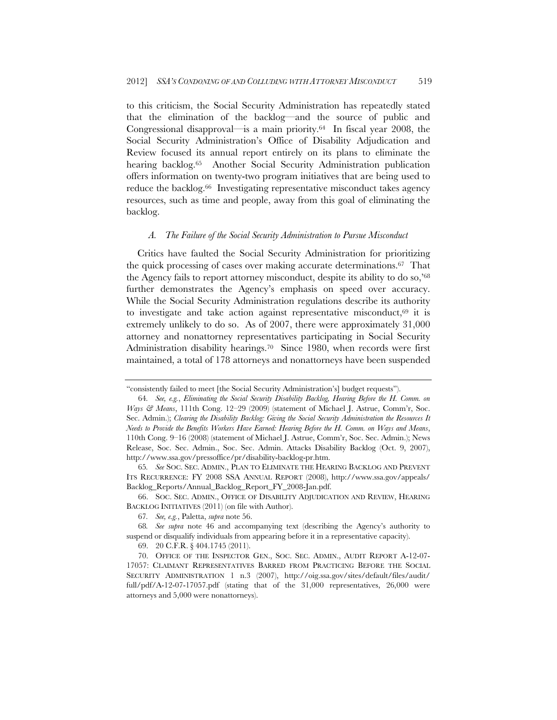to this criticism, the Social Security Administration has repeatedly stated that the elimination of the backlog—and the source of public and Congressional disapproval—is a main priority.64 In fiscal year 2008, the Social Security Administration's Office of Disability Adjudication and Review focused its annual report entirely on its plans to eliminate the hearing backlog.<sup>65</sup> Another Social Security Administration publication offers information on twenty-two program initiatives that are being used to reduce the backlog.<sup>66</sup> Investigating representative misconduct takes agency resources, such as time and people, away from this goal of eliminating the backlog.

#### *A. The Failure of the Social Security Administration to Pursue Misconduct*

Critics have faulted the Social Security Administration for prioritizing the quick processing of cases over making accurate determinations.67 That the Agency fails to report attorney misconduct, despite its ability to do so,'68 further demonstrates the Agency's emphasis on speed over accuracy. While the Social Security Administration regulations describe its authority to investigate and take action against representative misconduct,<sup>69</sup> it is extremely unlikely to do so. As of 2007, there were approximately 31,000 attorney and nonattorney representatives participating in Social Security Administration disability hearings.<sup>70</sup> Since 1980, when records were first maintained, a total of 178 attorneys and nonattorneys have been suspended

<sup>&</sup>quot;consistently failed to meet [the Social Security Administration's] budget requests").

<sup>64</sup>*. See, e.g.*, *Eliminating the Social Security Disability Backlog, Hearing Before the H. Comm. on Ways & Means*, 111th Cong. 12–29 (2009) (statement of Michael J. Astrue, Comm'r, Soc. Sec. Admin.); *Clearing the Disability Backlog: Giving the Social Security Administration the Resources It Needs to Provide the Benefits Workers Have Earned: Hearing Before the H. Comm. on Ways and Means*, 110th Cong. 9–16 (2008) (statement of Michael J. Astrue, Comm'r, Soc. Sec. Admin.); News Release, Soc. Sec. Admin., Soc. Sec. Admin. Attacks Disability Backlog (Oct. 9, 2007), http://www.ssa.gov/pressoffice/pr/disability-backlog-pr.htm.

<sup>65</sup>*. See* SOC. SEC. ADMIN., PLAN TO ELIMINATE THE HEARING BACKLOG AND PREVENT ITS RECURRENCE: FY 2008 SSA ANNUAL REPORT (2008), http://www.ssa.gov/appeals/ Backlog\_Reports/Annual\_Backlog\_Report\_FY\_2008-Jan.pdf.

 <sup>66.</sup> SOC. SEC. ADMIN., OFFICE OF DISABILITY ADJUDICATION AND REVIEW, HEARING BACKLOG INITIATIVES (2011) (on file with Author).

<sup>67</sup>*. See, e.g.*, Paletta, *supra* note 56.

<sup>68</sup>*. See supra* note 46 and accompanying text (describing the Agency's authority to suspend or disqualify individuals from appearing before it in a representative capacity).

 <sup>69. 20</sup> C.F.R. § 404.1745 (2011).

 <sup>70.</sup> OFFICE OF THE INSPECTOR GEN., SOC. SEC. ADMIN., AUDIT REPORT A-12-07- 17057: CLAIMANT REPRESENTATIVES BARRED FROM PRACTICING BEFORE THE SOCIAL SECURITY ADMINISTRATION 1 n.3 (2007), http://oig.ssa.gov/sites/default/files/audit/ full/pdf/A-12-07-17057.pdf (stating that of the 31,000 representatives, 26,000 were attorneys and 5,000 were nonattorneys).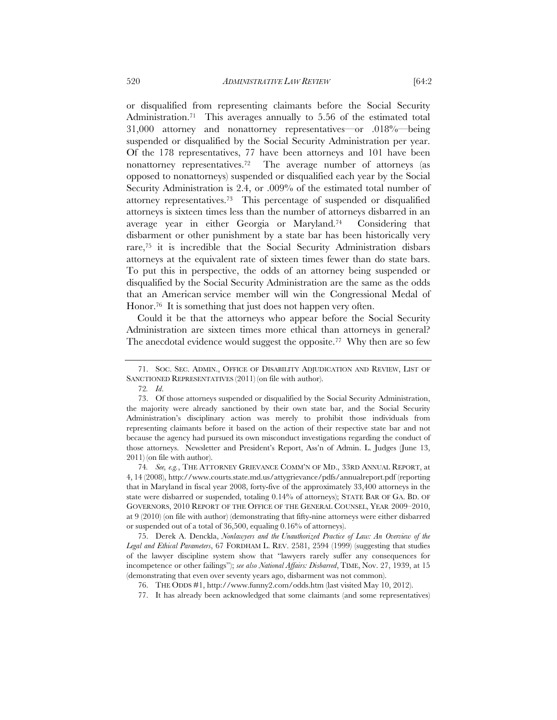or disqualified from representing claimants before the Social Security Administration.<sup>71</sup> This averages annually to 5.56 of the estimated total 31,000 attorney and nonattorney representatives—or .018%—being suspended or disqualified by the Social Security Administration per year. Of the 178 representatives, 77 have been attorneys and 101 have been nonattorney representatives.72 The average number of attorneys (as opposed to nonattorneys) suspended or disqualified each year by the Social Security Administration is 2.4, or .009% of the estimated total number of attorney representatives.73 This percentage of suspended or disqualified attorneys is sixteen times less than the number of attorneys disbarred in an average year in either Georgia or Maryland.74 Considering that disbarment or other punishment by a state bar has been historically very rare,75 it is incredible that the Social Security Administration disbars attorneys at the equivalent rate of sixteen times fewer than do state bars. To put this in perspective, the odds of an attorney being suspended or disqualified by the Social Security Administration are the same as the odds that an American service member will win the Congressional Medal of Honor.<sup>76</sup> It is something that just does not happen very often.

Could it be that the attorneys who appear before the Social Security Administration are sixteen times more ethical than attorneys in general? The anecdotal evidence would suggest the opposite.<sup>77</sup> Why then are so few

74*. See, e.g.*, THE ATTORNEY GRIEVANCE COMM'N OF MD., 33RD ANNUAL REPORT, at 4, 14 (2008), http://www.courts.state.md.us/attygrievance/pdfs/annualreport.pdf (reporting that in Maryland in fiscal year 2008, forty-five of the approximately 33,400 attorneys in the state were disbarred or suspended, totaling 0.14% of attorneys); STATE BAR OF GA. BD. OF GOVERNORS, 2010 REPORT OF THE OFFICE OF THE GENERAL COUNSEL, YEAR 2009–2010, at 9 (2010) (on file with author) (demonstrating that fifty-nine attorneys were either disbarred or suspended out of a total of 36,500, equaling 0.16% of attorneys).

 75. Derek A. Denckla, *Nonlawyers and the Unauthorized Practice of Law: An Overview of the Legal and Ethical Parameters*, 67 FORDHAM L. REV. 2581, 2594 (1999) (suggesting that studies of the lawyer discipline system show that "lawyers rarely suffer any consequences for incompetence or other failings"); *see also National Affairs: Disbarred*, TIME, Nov. 27, 1939, at 15 (demonstrating that even over seventy years ago, disbarment was not common).

 <sup>71.</sup> SOC. SEC. ADMIN., OFFICE OF DISABILITY ADJUDICATION AND REVIEW, LIST OF SANCTIONED REPRESENTATIVES (2011) (on file with author).

<sup>72</sup>*. Id*.

 <sup>73.</sup> Of those attorneys suspended or disqualified by the Social Security Administration, the majority were already sanctioned by their own state bar, and the Social Security Administration's disciplinary action was merely to prohibit those individuals from representing claimants before it based on the action of their respective state bar and not because the agency had pursued its own misconduct investigations regarding the conduct of those attorneys. Newsletter and President's Report, Ass'n of Admin. L. Judges (June 13, 2011) (on file with author).

 <sup>76.</sup> THE ODDS #1, http://www.funny2.com/odds.htm (last visited May 10, 2012).

 <sup>77.</sup> It has already been acknowledged that some claimants (and some representatives)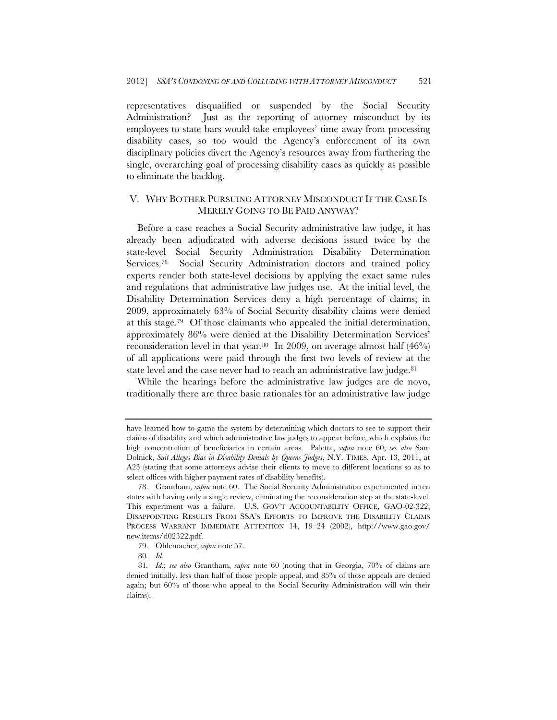representatives disqualified or suspended by the Social Security Administration? Just as the reporting of attorney misconduct by its employees to state bars would take employees' time away from processing disability cases, so too would the Agency's enforcement of its own disciplinary policies divert the Agency's resources away from furthering the single, overarching goal of processing disability cases as quickly as possible to eliminate the backlog.

# V. WHY BOTHER PURSUING ATTORNEY MISCONDUCT IF THE CASE IS MERELY GOING TO BE PAID ANYWAY?

Before a case reaches a Social Security administrative law judge, it has already been adjudicated with adverse decisions issued twice by the state-level Social Security Administration Disability Determination Services.<sup>78</sup> Social Security Administration doctors and trained policy experts render both state-level decisions by applying the exact same rules and regulations that administrative law judges use. At the initial level, the Disability Determination Services deny a high percentage of claims; in 2009, approximately 63% of Social Security disability claims were denied at this stage.79 Of those claimants who appealed the initial determination, approximately 86% were denied at the Disability Determination Services' reconsideration level in that year.<sup>80</sup> In 2009, on average almost half  $(46%)$ of all applications were paid through the first two levels of review at the state level and the case never had to reach an administrative law judge.<sup>81</sup>

While the hearings before the administrative law judges are de novo, traditionally there are three basic rationales for an administrative law judge

have learned how to game the system by determining which doctors to see to support their claims of disability and which administrative law judges to appear before, which explains the high concentration of beneficiaries in certain areas. Paletta, *supra* note 60; *see also* Sam Dolnick, *Suit Alleges Bias in Disability Denials by Queens Judges*, N.Y. TIMES, Apr. 13, 2011, at A23 (stating that some attorneys advise their clients to move to different locations so as to select offices with higher payment rates of disability benefits).

 <sup>78.</sup> Grantham, *supra* note 60. The Social Security Administration experimented in ten states with having only a single review, eliminating the reconsideration step at the state-level. This experiment was a failure. U.S. GOV'T ACCOUNTABILITY OFFICE, GAO-02-322, DISAPPOINTING RESULTS FROM SSA'S EFFORTS TO IMPROVE THE DISABILITY CLAIMS PROCESS WARRANT IMMEDIATE ATTENTION 14, 19–24 (2002), http://www.gao.gov/ new.items/d02322.pdf.

 <sup>79.</sup> Ohlemacher, *supra* note 57.

<sup>80</sup>*. Id*.

<sup>81</sup>*. Id*.; *see also* Grantham, *supra* note 60 (noting that in Georgia, 70% of claims are denied initially, less than half of those people appeal, and 85% of those appeals are denied again; but 60% of those who appeal to the Social Security Administration will win their claims).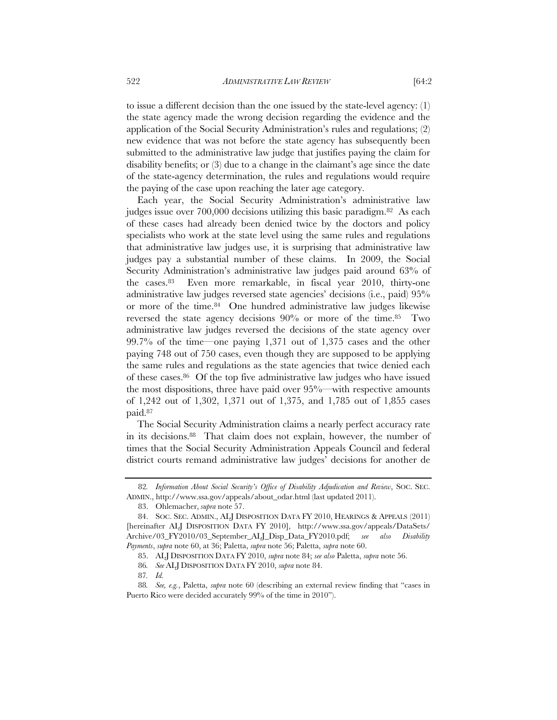to issue a different decision than the one issued by the state-level agency: (1) the state agency made the wrong decision regarding the evidence and the application of the Social Security Administration's rules and regulations; (2) new evidence that was not before the state agency has subsequently been submitted to the administrative law judge that justifies paying the claim for disability benefits; or (3) due to a change in the claimant's age since the date of the state-agency determination, the rules and regulations would require the paying of the case upon reaching the later age category.

Each year, the Social Security Administration's administrative law judges issue over 700,000 decisions utilizing this basic paradigm.82 As each of these cases had already been denied twice by the doctors and policy specialists who work at the state level using the same rules and regulations that administrative law judges use, it is surprising that administrative law judges pay a substantial number of these claims. In 2009, the Social Security Administration's administrative law judges paid around 63% of the cases.83 Even more remarkable, in fiscal year 2010, thirty-one administrative law judges reversed state agencies' decisions (i.e., paid) 95% or more of the time.84 One hundred administrative law judges likewise reversed the state agency decisions 90% or more of the time.85 Two administrative law judges reversed the decisions of the state agency over 99.7% of the time—one paying 1,371 out of 1,375 cases and the other paying 748 out of 750 cases, even though they are supposed to be applying the same rules and regulations as the state agencies that twice denied each of these cases.86 Of the top five administrative law judges who have issued the most dispositions, three have paid over 95%—with respective amounts of 1,242 out of 1,302, 1,371 out of 1,375, and 1,785 out of 1,855 cases paid.87

The Social Security Administration claims a nearly perfect accuracy rate in its decisions.88 That claim does not explain, however, the number of times that the Social Security Administration Appeals Council and federal district courts remand administrative law judges' decisions for another de

<sup>82</sup>*. Information About Social Security's Office of Disability Adjudication and Review*, SOC. SEC. ADMIN., http://www.ssa.gov/appeals/about\_odar.html (last updated 2011).

 <sup>83.</sup> Ohlemacher, *supra* note 57.

 <sup>84.</sup> SOC. SEC. ADMIN., ALJ DISPOSITION DATA FY 2010, HEARINGS & APPEALS (2011) [hereinafter ALJ DISPOSITION DATA FY 2010], http://www.ssa.gov/appeals/DataSets/ Archive/03\_FY2010/03\_September\_ALJ\_Disp\_Data\_FY2010.pdf; *see also Disability Payments*, *supra* note 60, at 36; Paletta, *supra* note 56; Paletta, *supra* note 60.

 <sup>85.</sup> ALJ DISPOSITION DATA FY 2010, *supra* note 84; *see also* Paletta, *supra* note 56.

<sup>86</sup>*. See* ALJ DISPOSITION DATA FY 2010, *supra* note 84.

<sup>87</sup>*. Id.*

<sup>88</sup>*. See, e.g.*, Paletta, *supra* note 60 (describing an external review finding that "cases in Puerto Rico were decided accurately 99% of the time in 2010").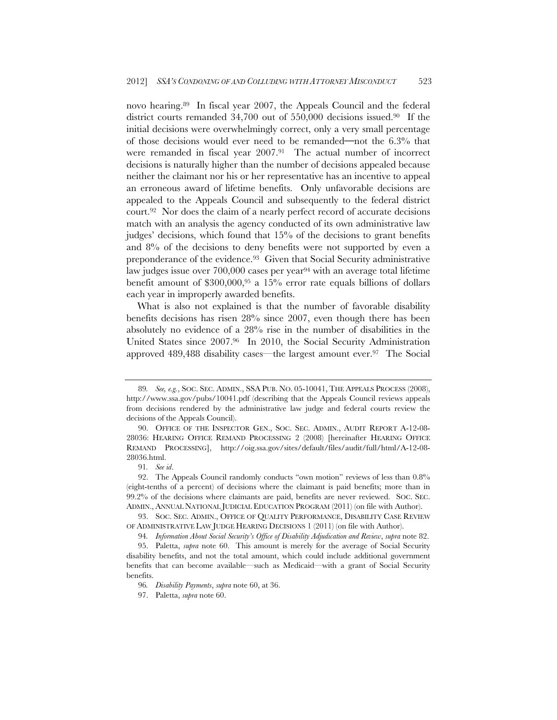novo hearing.89 In fiscal year 2007, the Appeals Council and the federal district courts remanded 34,700 out of 550,000 decisions issued.90 If the initial decisions were overwhelmingly correct, only a very small percentage of those decisions would ever need to be remanded**—**not the 6.3% that were remanded in fiscal year 2007.91 The actual number of incorrect decisions is naturally higher than the number of decisions appealed because neither the claimant nor his or her representative has an incentive to appeal an erroneous award of lifetime benefits. Only unfavorable decisions are appealed to the Appeals Council and subsequently to the federal district court.92 Nor does the claim of a nearly perfect record of accurate decisions match with an analysis the agency conducted of its own administrative law judges' decisions, which found that 15% of the decisions to grant benefits and 8% of the decisions to deny benefits were not supported by even a preponderance of the evidence.<sup>93</sup> Given that Social Security administrative law judges issue over 700,000 cases per year<sup>94</sup> with an average total lifetime benefit amount of \$300,000,95 a 15% error rate equals billions of dollars each year in improperly awarded benefits.

What is also not explained is that the number of favorable disability benefits decisions has risen 28% since 2007, even though there has been absolutely no evidence of a 28% rise in the number of disabilities in the United States since 2007.96 In 2010, the Social Security Administration approved 489,488 disability cases—the largest amount ever.97 The Social

<sup>89</sup>*. See, e.g.*, SOC. SEC. ADMIN., SSA PUB. NO. 05-10041, THE APPEALS PROCESS (2008), http://www.ssa.gov/pubs/10041.pdf (describing that the Appeals Council reviews appeals from decisions rendered by the administrative law judge and federal courts review the decisions of the Appeals Council).

 <sup>90.</sup> OFFICE OF THE INSPECTOR GEN., SOC. SEC. ADMIN., AUDIT REPORT A-12-08- 28036: HEARING OFFICE REMAND PROCESSING 2 (2008) [hereinafter HEARING OFFICE REMAND PROCESSING], http://oig.ssa.gov/sites/default/files/audit/full/html/A-12-08- 28036.html.

<sup>91</sup>*. See id*.

 <sup>92.</sup> The Appeals Council randomly conducts "own motion" reviews of less than 0.8% (eight-tenths of a percent) of decisions where the claimant is paid benefits; more than in 99.2% of the decisions where claimants are paid, benefits are never reviewed. SOC. SEC. ADMIN., ANNUAL NATIONAL JUDICIAL EDUCATION PROGRAM (2011) (on file with Author).

 <sup>93.</sup> SOC. SEC. ADMIN., OFFICE OF QUALITY PERFORMANCE, DISABILITY CASE REVIEW OF ADMINISTRATIVE LAW JUDGE HEARING DECISIONS 1 (2011) (on file with Author).

<sup>94</sup>*. Information About Social Security's Office of Disability Adjudication and Review*, *supra* note 82.

 <sup>95.</sup> Paletta, *supra* note 60. This amount is merely for the average of Social Security disability benefits, and not the total amount, which could include additional government benefits that can become available—such as Medicaid—with a grant of Social Security benefits.

<sup>96</sup>*. Disability Payments*, *supra* note 60, at 36.

 <sup>97.</sup> Paletta, *supra* note 60.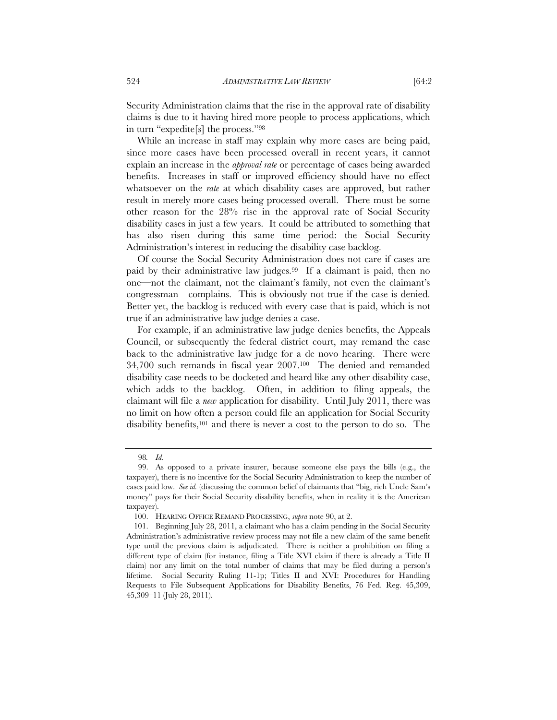Security Administration claims that the rise in the approval rate of disability claims is due to it having hired more people to process applications, which in turn "expedite[s] the process."98

While an increase in staff may explain why more cases are being paid, since more cases have been processed overall in recent years, it cannot explain an increase in the *approval rate* or percentage of cases being awarded benefits. Increases in staff or improved efficiency should have no effect whatsoever on the *rate* at which disability cases are approved, but rather result in merely more cases being processed overall. There must be some other reason for the 28% rise in the approval rate of Social Security disability cases in just a few years. It could be attributed to something that has also risen during this same time period: the Social Security Administration's interest in reducing the disability case backlog.

Of course the Social Security Administration does not care if cases are paid by their administrative law judges.99 If a claimant is paid, then no one—not the claimant, not the claimant's family, not even the claimant's congressman—complains. This is obviously not true if the case is denied. Better yet, the backlog is reduced with every case that is paid, which is not true if an administrative law judge denies a case.

For example, if an administrative law judge denies benefits, the Appeals Council, or subsequently the federal district court, may remand the case back to the administrative law judge for a de novo hearing. There were 34,700 such remands in fiscal year 2007.100 The denied and remanded disability case needs to be docketed and heard like any other disability case, which adds to the backlog. Often, in addition to filing appeals, the claimant will file a *new* application for disability. Until July 2011, there was no limit on how often a person could file an application for Social Security disability benefits,<sup>101</sup> and there is never a cost to the person to do so. The

<sup>98</sup>*. Id*.

 <sup>99.</sup> As opposed to a private insurer, because someone else pays the bills (e.g., the taxpayer), there is no incentive for the Social Security Administration to keep the number of cases paid low. *See id.* (discussing the common belief of claimants that "big, rich Uncle Sam's money" pays for their Social Security disability benefits, when in reality it is the American taxpayer).

 <sup>100.</sup> HEARING OFFICE REMAND PROCESSING, *supra* note 90, at 2.

 <sup>101.</sup> Beginning July 28, 2011, a claimant who has a claim pending in the Social Security Administration's administrative review process may not file a new claim of the same benefit type until the previous claim is adjudicated. There is neither a prohibition on filing a different type of claim (for instance, filing a Title XVI claim if there is already a Title II claim) nor any limit on the total number of claims that may be filed during a person's lifetime. Social Security Ruling 11-1p; Titles II and XVI: Procedures for Handling Requests to File Subsequent Applications for Disability Benefits, 76 Fed. Reg. 45,309, 45,309–11 (July 28, 2011).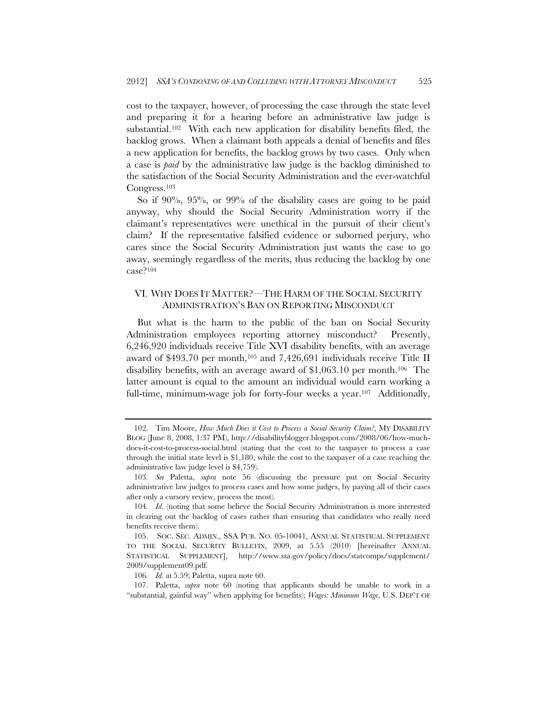cost to the taxpayer, however, of processing the case through the state level and preparing it for a hearing before an administrative law judge is substantial.102 With each new application for disability benefits filed, the backlog grows. When a claimant both appeals a denial of benefits and files a new application for benefits, the backlog grows by two cases. Only when a case is *paid* by the administrative law judge is the backlog diminished to the satisfaction of the Social Security Administration and the ever-watchful Congress.103

So if 90%, 95%, or 99% of the disability cases are going to be paid anyway, why should the Social Security Administration worry if the claimant's representatives were unethical in the pursuit of their client's claim? If the representative falsified evidence or suborned perjury, who cares since the Social Security Administration just wants the case to go away, seemingly regardless of the merits, thus reducing the backlog by one case?104

# VI. WHY DOES IT MATTER?—THE HARM OF THE SOCIAL SECURITY ADMINISTRATION'S BAN ON REPORTING MISCONDUCT

But what is the harm to the public of the ban on Social Security Administration employees reporting attorney misconduct? Presently, 6,246,920 individuals receive Title XVI disability benefits, with an average award of \$493.70 per month,<sup>105</sup> and 7,426,691 individuals receive Title II disability benefits, with an average award of \$1,063.10 per month.106 The latter amount is equal to the amount an individual would earn working a full-time, minimum-wage job for forty-four weeks a year.<sup>107</sup> Additionally,

 <sup>102.</sup> Tim Moore, *How Much Does it Cost to Process a Social Security Claim?*, MY DISABILITY BLOG (June 8, 2008, 1:37 PM), http://disabilityblogger.blogspot.com/2008/06/how-muchdoes-it-cost-to-process-social.html (stating that the cost to the taxpayer to process a case through the initial state level is \$1,180, while the cost to the taxpayer of a case reaching the administrative law judge level is \$4,759).

<sup>103</sup>*. See* Paletta, *supra* note 56 (discussing the pressure put on Social Security administrative law judges to process cases and how some judges, by paying all of their cases after only a cursory review, process the most).

<sup>104</sup>*. Id*. (noting that some believe the Social Security Administration is more interested in clearing out the backlog of cases rather than ensuring that candidates who really need benefits receive them).

 <sup>105.</sup> SOC. SEC. ADMIN., SSA PUB. NO. 05-10041, ANNUAL STATISTICAL SUPPLEMENT TO THE SOCIAL SECURITY BULLETIN, 2009, at 5.55 (2010) [hereinafter ANNUAL STATISTICAL SUPPLEMENT], http://www.ssa.gov/policy/docs/statcomps/supplement/ 2009/supplement09.pdf.

<sup>106</sup>*. Id.* at 5.59; Paletta, supra note 60.

 <sup>107.</sup> Paletta, *supra* note 60 (noting that applicants should be unable to work in a "substantial, gainful way" when applying for benefits); *Wages: Minimum Wage*, U.S. DEP'T OF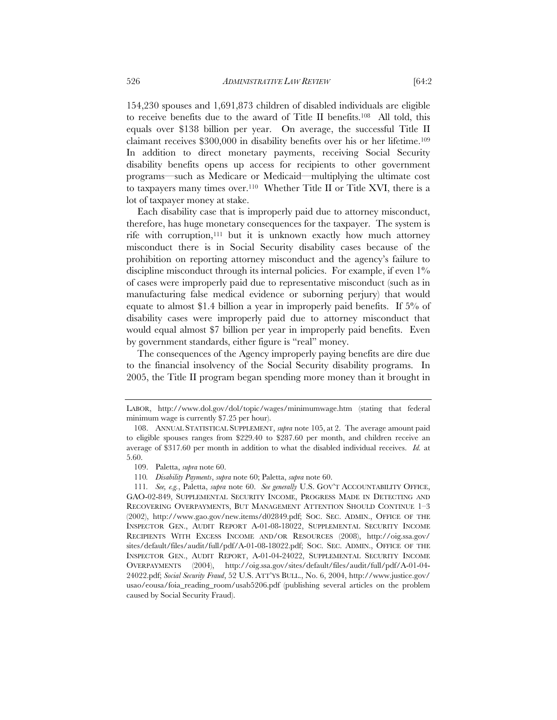154,230 spouses and 1,691,873 children of disabled individuals are eligible to receive benefits due to the award of Title II benefits.108 All told, this equals over \$138 billion per year. On average, the successful Title II claimant receives \$300,000 in disability benefits over his or her lifetime.109 In addition to direct monetary payments, receiving Social Security disability benefits opens up access for recipients to other government programs—such as Medicare or Medicaid—multiplying the ultimate cost to taxpayers many times over.110 Whether Title II or Title XVI, there is a lot of taxpayer money at stake.

Each disability case that is improperly paid due to attorney misconduct, therefore, has huge monetary consequences for the taxpayer. The system is rife with corruption,111 but it is unknown exactly how much attorney misconduct there is in Social Security disability cases because of the prohibition on reporting attorney misconduct and the agency's failure to discipline misconduct through its internal policies. For example, if even  $1\%$ of cases were improperly paid due to representative misconduct (such as in manufacturing false medical evidence or suborning perjury) that would equate to almost \$1.4 billion a year in improperly paid benefits. If 5% of disability cases were improperly paid due to attorney misconduct that would equal almost \$7 billion per year in improperly paid benefits. Even by government standards, either figure is "real" money.

The consequences of the Agency improperly paying benefits are dire due to the financial insolvency of the Social Security disability programs. In 2005, the Title II program began spending more money than it brought in

LABOR, http://www.dol.gov/dol/topic/wages/minimumwage.htm (stating that federal minimum wage is currently \$7.25 per hour).

 <sup>108.</sup> ANNUAL STATISTICAL SUPPLEMENT, *supra* note 105, at 2. The average amount paid to eligible spouses ranges from \$229.40 to \$287.60 per month, and children receive an average of \$317.60 per month in addition to what the disabled individual receives. *Id.* at 5.60.

 <sup>109.</sup> Paletta, *supra* note 60.

<sup>110</sup>*. Disability Payments*, *supra* note 60; Paletta, *supra* note 60.

<sup>111</sup>*. See, e.g.*, Paletta, *supra* note 60. *See generally* U.S. GOV'T ACCOUNTABILITY OFFICE, GAO-02-849, SUPPLEMENTAL SECURITY INCOME, PROGRESS MADE IN DETECTING AND RECOVERING OVERPAYMENTS, BUT MANAGEMENT ATTENTION SHOULD CONTINUE 1–3 (2002), http://www.gao.gov/new.items/d02849.pdf; SOC. SEC. ADMIN., OFFICE OF THE INSPECTOR GEN., AUDIT REPORT A-01-08-18022, SUPPLEMENTAL SECURITY INCOME RECIPIENTS WITH EXCESS INCOME AND/OR RESOURCES (2008), http://oig.ssa.gov/ sites/default/files/audit/full/pdf/A-01-08-18022.pdf; SOC. SEC. ADMIN., OFFICE OF THE INSPECTOR GEN., AUDIT REPORT, A-01-04-24022, SUPPLEMENTAL SECURITY INCOME OVERPAYMENTS (2004), http://oig.ssa.gov/sites/default/files/audit/full/pdf/A-01-04- 24022.pdf; *Social Security Fraud*, 52 U.S. ATT'YS BULL., No. 6, 2004, http://www.justice.gov/ usao/eousa/foia\_reading\_room/usab5206.pdf (publishing several articles on the problem caused by Social Security Fraud).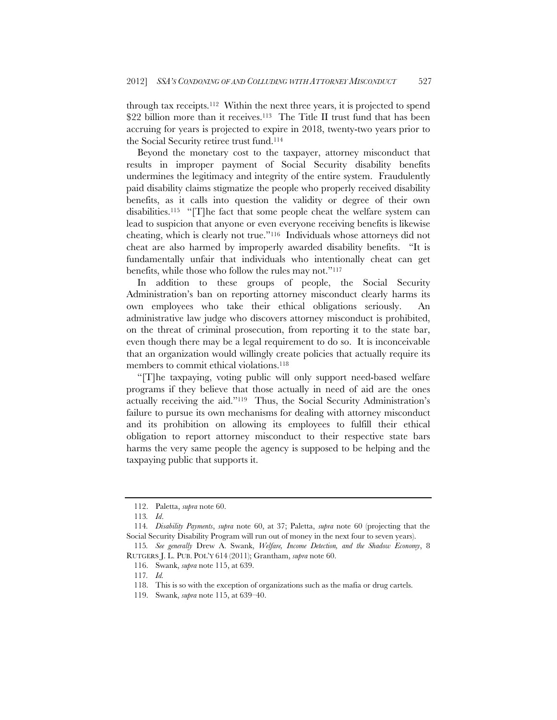through tax receipts.112 Within the next three years, it is projected to spend \$22 billion more than it receives.<sup>113</sup> The Title II trust fund that has been accruing for years is projected to expire in 2018, twenty-two years prior to the Social Security retiree trust fund.114

Beyond the monetary cost to the taxpayer, attorney misconduct that results in improper payment of Social Security disability benefits undermines the legitimacy and integrity of the entire system. Fraudulently paid disability claims stigmatize the people who properly received disability benefits, as it calls into question the validity or degree of their own disabilities.115 "[T]he fact that some people cheat the welfare system can lead to suspicion that anyone or even everyone receiving benefits is likewise cheating, which is clearly not true."116 Individuals whose attorneys did not cheat are also harmed by improperly awarded disability benefits. "It is fundamentally unfair that individuals who intentionally cheat can get benefits, while those who follow the rules may not."117

In addition to these groups of people, the Social Security Administration's ban on reporting attorney misconduct clearly harms its own employees who take their ethical obligations seriously. An administrative law judge who discovers attorney misconduct is prohibited, on the threat of criminal prosecution, from reporting it to the state bar, even though there may be a legal requirement to do so. It is inconceivable that an organization would willingly create policies that actually require its members to commit ethical violations.<sup>118</sup>

"[T]he taxpaying, voting public will only support need-based welfare programs if they believe that those actually in need of aid are the ones actually receiving the aid."119 Thus, the Social Security Administration's failure to pursue its own mechanisms for dealing with attorney misconduct and its prohibition on allowing its employees to fulfill their ethical obligation to report attorney misconduct to their respective state bars harms the very same people the agency is supposed to be helping and the taxpaying public that supports it.

 <sup>112.</sup> Paletta, *supra* note 60.

<sup>113</sup>*. Id*.

<sup>114</sup>*. Disability Payments*, *supra* note 60, at 37; Paletta, *supra* note 60 (projecting that the Social Security Disability Program will run out of money in the next four to seven years).

<sup>115</sup>*. See generally* Drew A. Swank, *Welfare, Income Detection, and the Shadow Economy*, 8 RUTGERS J. L. PUB. POL'Y 614 (2011); Grantham, *supra* note 60.

 <sup>116.</sup> Swank, *supra* note 115, at 639.

<sup>117</sup>*. Id.*

 <sup>118.</sup> This is so with the exception of organizations such as the mafia or drug cartels.

 <sup>119.</sup> Swank, *supra* note 115, at 639–40.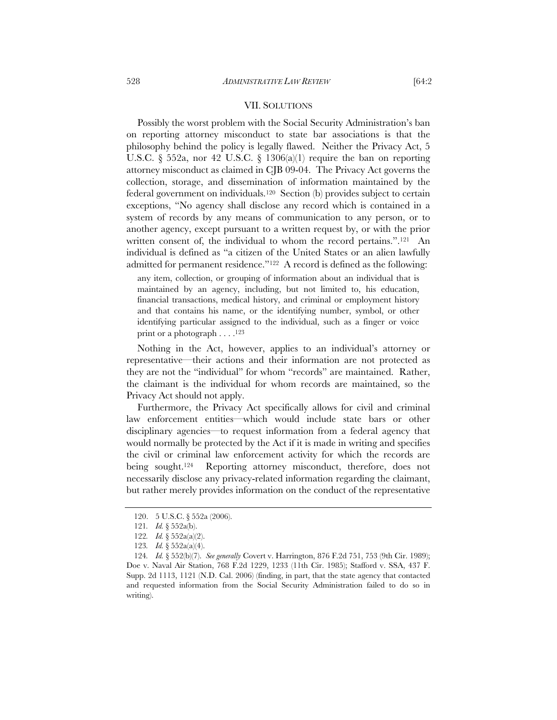#### VII. SOLUTIONS

Possibly the worst problem with the Social Security Administration's ban on reporting attorney misconduct to state bar associations is that the philosophy behind the policy is legally flawed. Neither the Privacy Act, 5 U.S.C.  $\S$  552a, nor 42 U.S.C.  $\S$  1306(a)(1) require the ban on reporting attorney misconduct as claimed in CJB 09-04. The Privacy Act governs the collection, storage, and dissemination of information maintained by the federal government on individuals.120 Section (b) provides subject to certain exceptions, "No agency shall disclose any record which is contained in a system of records by any means of communication to any person, or to another agency, except pursuant to a written request by, or with the prior written consent of, the individual to whom the record pertains.".<sup>121</sup> An individual is defined as "a citizen of the United States or an alien lawfully admitted for permanent residence."122 A record is defined as the following:

any item, collection, or grouping of information about an individual that is maintained by an agency, including, but not limited to, his education, financial transactions, medical history, and criminal or employment history and that contains his name, or the identifying number, symbol, or other identifying particular assigned to the individual, such as a finger or voice print or a photograph  $\dots$ .<sup>123</sup>

Nothing in the Act, however, applies to an individual's attorney or representative—their actions and their information are not protected as they are not the "individual" for whom "records" are maintained. Rather, the claimant is the individual for whom records are maintained, so the Privacy Act should not apply.

Furthermore, the Privacy Act specifically allows for civil and criminal law enforcement entities—which would include state bars or other disciplinary agencies—to request information from a federal agency that would normally be protected by the Act if it is made in writing and specifies the civil or criminal law enforcement activity for which the records are being sought.<sup>124</sup> Reporting attorney misconduct, therefore, does not necessarily disclose any privacy-related information regarding the claimant, but rather merely provides information on the conduct of the representative

 <sup>120. 5</sup> U.S.C. § 552a (2006).

<sup>121</sup>*. Id.* § 552a(b).

<sup>122</sup>*. Id.* § 552a(a)(2).

<sup>123</sup>*. Id.* § 552a(a)(4).

<sup>124</sup>*. Id.* § 552(b)(7). *See generally* Covert v. Harrington, 876 F.2d 751, 753 (9th Cir. 1989); Doe v. Naval Air Station, 768 F.2d 1229, 1233 (11th Cir. 1985); Stafford v. SSA, 437 F. Supp. 2d 1113, 1121 (N.D. Cal. 2006) (finding, in part, that the state agency that contacted and requested information from the Social Security Administration failed to do so in writing).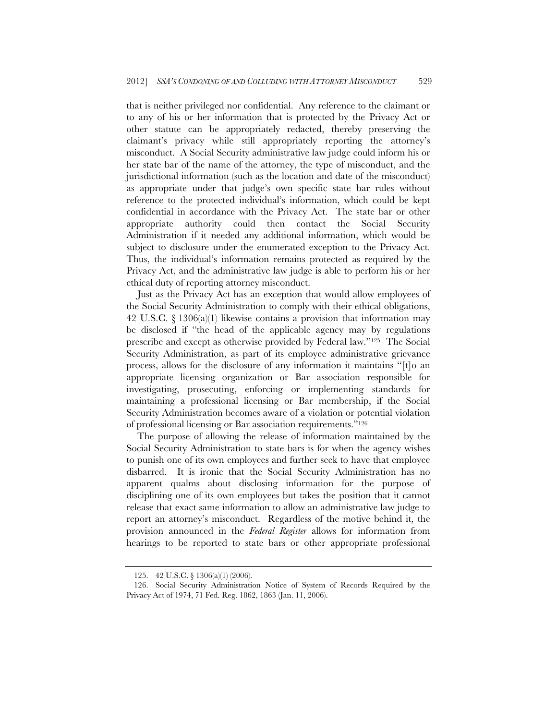that is neither privileged nor confidential. Any reference to the claimant or to any of his or her information that is protected by the Privacy Act or other statute can be appropriately redacted, thereby preserving the claimant's privacy while still appropriately reporting the attorney's misconduct. A Social Security administrative law judge could inform his or her state bar of the name of the attorney, the type of misconduct, and the jurisdictional information (such as the location and date of the misconduct) as appropriate under that judge's own specific state bar rules without reference to the protected individual's information, which could be kept confidential in accordance with the Privacy Act. The state bar or other appropriate authority could then contact the Social Security Administration if it needed any additional information, which would be subject to disclosure under the enumerated exception to the Privacy Act. Thus, the individual's information remains protected as required by the Privacy Act, and the administrative law judge is able to perform his or her ethical duty of reporting attorney misconduct.

Just as the Privacy Act has an exception that would allow employees of the Social Security Administration to comply with their ethical obligations, 42 U.S.C.  $\S$  1306(a)(1) likewise contains a provision that information may be disclosed if "the head of the applicable agency may by regulations prescribe and except as otherwise provided by Federal law."125 The Social Security Administration, as part of its employee administrative grievance process, allows for the disclosure of any information it maintains "[t]o an appropriate licensing organization or Bar association responsible for investigating, prosecuting, enforcing or implementing standards for maintaining a professional licensing or Bar membership, if the Social Security Administration becomes aware of a violation or potential violation of professional licensing or Bar association requirements."126

The purpose of allowing the release of information maintained by the Social Security Administration to state bars is for when the agency wishes to punish one of its own employees and further seek to have that employee disbarred. It is ironic that the Social Security Administration has no apparent qualms about disclosing information for the purpose of disciplining one of its own employees but takes the position that it cannot release that exact same information to allow an administrative law judge to report an attorney's misconduct. Regardless of the motive behind it, the provision announced in the *Federal Register* allows for information from hearings to be reported to state bars or other appropriate professional

 <sup>125. 42</sup> U.S.C. § 1306(a)(1) (2006).

 <sup>126.</sup> Social Security Administration Notice of System of Records Required by the Privacy Act of 1974, 71 Fed. Reg. 1862, 1863 (Jan. 11, 2006).